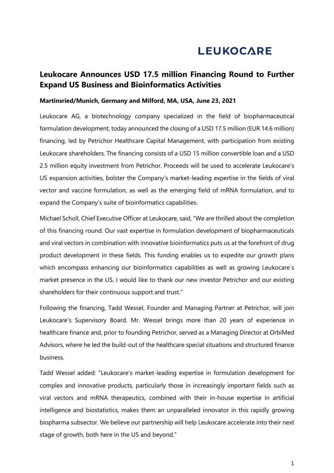# **LEUKOCARE**

## **Leukocare Announces USD 17.5 million Financing Round to Further Expand US Business and Bioinformatics Activities**

#### **Martinsried/Munich, Germany and Milford, MA, USA, June 23, 2021**

Leukocare AG, a biotechnology company specialized in the field of biopharmaceutical formulation development, today announced the closing of a USD 17.5 million (EUR 14.6 million) financing, led by Petrichor Healthcare Capital Management, with participation from existing Leukocare shareholders. The financing consists of a USD 15 million convertible loan and a USD 2.5 million equity investment from Petrichor. Proceeds will be used to accelerate Leukocare's US expansion activities, bolster the Company's market-leading expertise in the fields of viral vector and vaccine formulation, as well as the emerging field of mRNA formulation, and to expand the Company's suite of bioinformatics capabilities.

Michael Scholl, Chief Executive Officer at Leukocare, said, "We are thrilled about the completion of this financing round. Our vast expertise in formulation development of biopharmaceuticals and viral vectors in combination with innovative bioinformatics puts us at the forefront of drug product development in these fields. This funding enables us to expedite our growth plans which encompass enhancing our bioinformatics capabilities as well as growing Leukocare's market presence in the US. I would like to thank our new investor Petrichor and our existing shareholders for their continuous support and trust."

Following the financing, Tadd Wessel, Founder and Managing Partner at Petrichor, will join Leukocare's Supervisory Board. Mr. Wessel brings more than 20 years of experience in healthcare finance and, prior to founding Petrichor, served as a Managing Director at OrbiMed Advisors, where he led the build-out of the healthcare special situations and structured finance business.

Tadd Wessel added: "Leukocare's market-leading expertise in formulation development for complex and innovative products, particularly those in increasingly important fields such as viral vectors and mRNA therapeutics, combined with their in-house expertise in artificial intelligence and biostatistics, makes them an unparalleled innovator in this rapidly growing biopharma subsector. We believe our partnership will help Leukocare accelerate into their next stage of growth, both here in the US and beyond."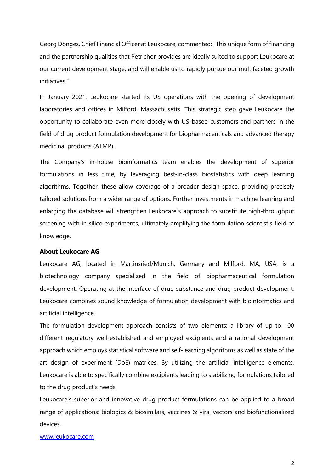Georg Dönges, Chief Financial Officer at Leukocare, commented: "This unique form of financing and the partnership qualities that Petrichor provides are ideally suited to support Leukocare at our current development stage, and will enable us to rapidly pursue our multifaceted growth initiatives."

In January 2021, Leukocare started its US operations with the opening of development laboratories and offices in Milford, Massachusetts. This strategic step gave Leukocare the opportunity to collaborate even more closely with US-based customers and partners in the field of drug product formulation development for biopharmaceuticals and advanced therapy medicinal products (ATMP).

The Company's in-house bioinformatics team enables the development of superior formulations in less time, by leveraging best-in-class biostatistics with deep learning algorithms. Together, these allow coverage of a broader design space, providing precisely tailored solutions from a wider range of options. Further investments in machine learning and enlarging the database will strengthen Leukocare´s approach to substitute high-throughput screening with in silico experiments, ultimately amplifying the formulation scientist's field of knowledge.

#### **About Leukocare AG**

Leukocare AG, located in Martinsried/Munich, Germany and Milford, MA, USA, is a biotechnology company specialized in the field of biopharmaceutical formulation development. Operating at the interface of drug substance and drug product development, Leukocare combines sound knowledge of formulation development with bioinformatics and artificial intelligence.

The formulation development approach consists of two elements: a library of up to 100 different regulatory well-established and employed excipients and a rational development approach which employs statistical software and self-learning algorithms as well as state of the art design of experiment (DoE) matrices. By utilizing the artificial intelligence elements, Leukocare is able to specifically combine excipients leading to stabilizing formulations tailored to the drug product's needs.

Leukocare's superior and innovative drug product formulations can be applied to a broad range of applications: biologics & biosimilars, vaccines & viral vectors and biofunctionalized devices.

#### [www.leukocare.com](http://www.leukocare.com/)